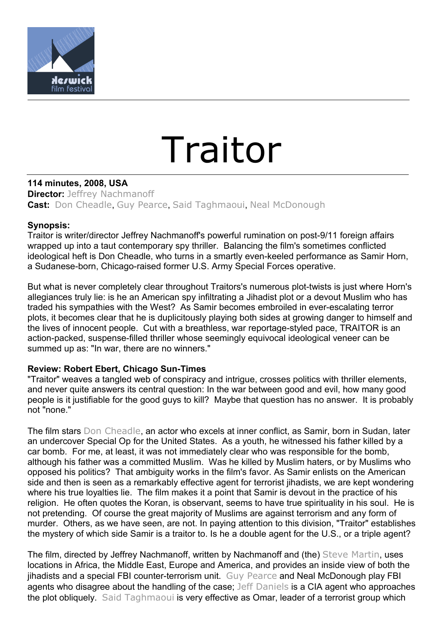

## Traitor

**114 minutes, 2008, USA Director:** [Jeffrey Nachmanoff](http://uk.rottentomatoes.com/celebrity/jeffrey_nachmanoff/) **Cast:** [Don Cheadle](http://uk.rottentomatoes.com/celebrity/don_cheadle/), [Guy Pearce](http://uk.rottentomatoes.com/celebrity/guy_pearce/), [Said Taghmaoui](http://uk.rottentomatoes.com/celebrity/said_taghmaoui/), [Neal McDonough](http://uk.rottentomatoes.com/celebrity/neal_mcdonough/)

## **Synopsis:**

Traitor is writer/director Jeffrey Nachmanoff's powerful rumination on post-9/11 foreign affairs wrapped up into a taut contemporary spy thriller. Balancing the film's sometimes conflicted ideological heft is Don Cheadle, who turns in a smartly even-keeled performance as Samir Horn, a Sudanese-born, Chicago-raised former U.S. Army Special Forces operative.

But what is never completely clear throughout Traitors's numerous plot-twists is just where Horn's allegiances truly lie: is he an American spy infiltrating a Jihadist plot or a devout Muslim who has traded his sympathies with the West? As Samir becomes embroiled in ever-escalating terror plots, it becomes clear that he is duplicitously playing both sides at growing danger to himself and the lives of innocent people. Cut with a breathless, war reportage-styled pace, TRAITOR is an action-packed, suspense-filled thriller whose seemingly equivocal ideological veneer can be summed up as: "In war, there are no winners."

## **Review: Robert Ebert, Chicago Sun-Times**

"Traitor" weaves a tangled web of conspiracy and intrigue, crosses politics with thriller elements, and never quite answers its central question: In the war between good and evil, how many good people is it justifiable for the good guys to kill? Maybe that question has no answer. It is probably not "none."

The film stars [Don Cheadle](http://rogerebert.suntimes.com/apps/pbcs.dll/classifieds?category=search1&SearchType=1&q=Don%20Cheadle&Class=%25&FromDate=19150101&ToDate=20091231), an actor who excels at inner conflict, as Samir, born in Sudan, later an undercover Special Op for the United States. As a youth, he witnessed his father killed by a car bomb. For me, at least, it was not immediately clear who was responsible for the bomb, although his father was a committed Muslim. Was he killed by Muslim haters, or by Muslims who opposed his politics? That ambiguity works in the film's favor. As Samir enlists on the American side and then is seen as a remarkably effective agent for terrorist jihadists, we are kept wondering where his true loyalties lie. The film makes it a point that Samir is devout in the practice of his religion. He often quotes the Koran, is observant, seems to have true spirituality in his soul. He is not pretending. Of course the great majority of Muslims are against terrorism and any form of murder. Others, as we have seen, are not. In paying attention to this division, "Traitor" establishes the mystery of which side Samir is a traitor to. Is he a double agent for the U.S., or a triple agent?

The film, directed by Jeffrey Nachmanoff, written by Nachmanoff and (the) [Steve Martin](http://rogerebert.suntimes.com/apps/pbcs.dll/classifieds?category=search1&SearchType=1&q=Steve%20Martin&Class=%25&FromDate=19150101&ToDate=20091231), uses locations in Africa, the Middle East, Europe and America, and provides an inside view of both the jihadists and a special FBI counter-terrorism unit. [Guy Pearce](http://rogerebert.suntimes.com/apps/pbcs.dll/classifieds?category=search1&SearchType=1&q=Guy%20Pearce&Class=%25&FromDate=19150101&ToDate=20091231) and Neal McDonough play FBI agents who disagree about the handling of the case; [Jeff Daniels](http://rogerebert.suntimes.com/apps/pbcs.dll/classifieds?category=search1&SearchType=1&q=Jeff%20Daniels&Class=%25&FromDate=19150101&ToDate=20091231) is a CIA agent who approaches the plot obliquely. [Said Taghmaoui](http://rogerebert.suntimes.com/apps/pbcs.dll/classifieds?category=search1&SearchType=1&q=Said%20Taghmaoui&Class=%25&FromDate=19150101&ToDate=20091231) is very effective as Omar, leader of a terrorist group which